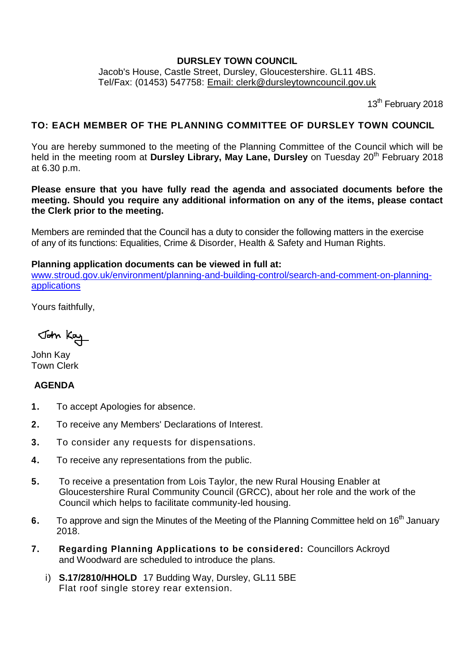## **DURSLEY TOWN COUNCIL**

Jacob's House, Castle Street, Dursley, Gloucestershire. GL11 4BS. Tel/Fax: (01453) 547758: [Email: clerk@dursleytowncouncil.gov.uk](mailto:clerk@dursleytowncouncil.gov.uk)

13<sup>th</sup> February 2018

# **TO: EACH MEMBER OF THE PLANNING COMMITTEE OF DURSLEY TOWN COUNCIL**

You are hereby summoned to the meeting of the Planning Committee of the Council which will be held in the meeting room at **Dursley Library, May Lane, Dursley** on Tuesday 20th February 2018 at 6.30 p.m.

**Please ensure that you have fully read the agenda and associated documents before the meeting. Should you require any additional information on any of the items, please contact the Clerk prior to the meeting.** 

Members are reminded that the Council has a duty to consider the following matters in the exercise of any of its functions: Equalities, Crime & Disorder, Health & Safety and Human Rights.

#### **Planning application documents can be viewed in full at:**

[www.stroud.gov.uk/environment/planning-and-building-control/search-and-comment-on-planning](http://www.stroud.gov.uk/environment/planning-and-building-control/search-and-comment-on-planning-applications)[applications](http://www.stroud.gov.uk/environment/planning-and-building-control/search-and-comment-on-planning-applications)

Yours faithfully,

John Kay

John Kay Town Clerk

# **AGENDA**

- **1.** To accept Apologies for absence.
- **2.** To receive any Members' Declarations of Interest.
- **3.** To consider any requests for dispensations.
- **4.** To receive any representations from the public.
- **5.** To receive a presentation from Lois Taylor, the new Rural Housing Enabler at Gloucestershire Rural Community Council (GRCC), about her role and the work of the Council which helps to facilitate community-led housing.
- **6.** To approve and sign the Minutes of the Meeting of the Planning Committee held on 16<sup>th</sup> January 2018.
- **7. Regarding Planning Applications to be considered:** Councillors Ackroyd and Woodward are scheduled to introduce the plans.
	- i) **S.17/2810/HHOLD** 17 Budding Way, Dursley, GL11 5BE Flat roof single storey rear extension.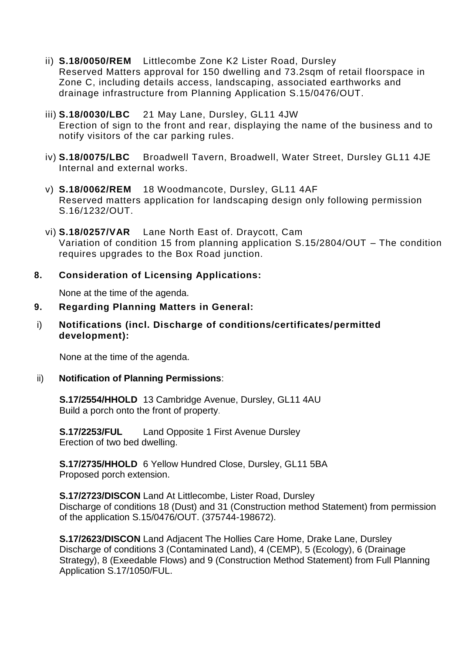- ii) **S.18/0050/REM** Littlecombe Zone K2 Lister Road, Dursley Reserved Matters approval for 150 dwelling and 73.2sqm of retail floorspace in Zone C, including details access, landscaping, associated earthworks and drainage infrastructure from Planning Application S.15/0476/OUT.
- iii) **S.18/0030/LBC** 21 May Lane, Dursley, GL11 4JW Erection of sign to the front and rear, displaying the name of the business and to notify visitors of the car parking rules.
- iv) **S.18/0075/LBC** Broadwell Tavern, Broadwell, Water Street, Dursley GL11 4JE Internal and external works.
- v) **S.18/0062/REM** 18 Woodmancote, Dursley, GL11 4AF Reserved matters application for landscaping design only following permission S.16/1232/OUT.
- vi) **S.18/0257/VAR** Lane North East of. Draycott, Cam Variation of condition 15 from planning application S.15/2804/OUT – The condition requires upgrades to the Box Road junction.

# **8. Consideration of Licensing Applications:**

None at the time of the agenda.

#### **9. Regarding Planning Matters in General:**

i) **Notifications (incl. Discharge of conditions/certificates/permitted development):** 

None at the time of the agenda.

#### ii) **Notification of Planning Permissions**:

**S.17/2554/HHOLD** 13 Cambridge Avenue, Dursley, GL11 4AU Build a porch onto the front of property.

**S.17/2253/FUL** Land Opposite 1 First Avenue Dursley Erection of two bed dwelling.

**S.17/2735/HHOLD** 6 Yellow Hundred Close, Dursley, GL11 5BA Proposed porch extension.

**S.17/2723/DISCON** Land At Littlecombe, Lister Road, Dursley Discharge of conditions 18 (Dust) and 31 (Construction method Statement) from permission of the application S.15/0476/OUT. (375744-198672).

**S.17/2623/DISCON** Land Adjacent The Hollies Care Home, Drake Lane, Dursley Discharge of conditions 3 (Contaminated Land), 4 (CEMP), 5 (Ecology), 6 (Drainage Strategy), 8 (Exeedable Flows) and 9 (Construction Method Statement) from Full Planning Application S.17/1050/FUL.